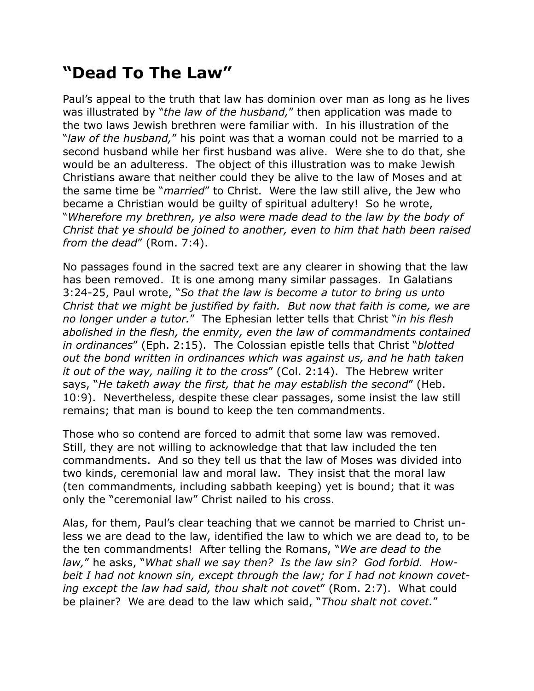## **"Dead To The Law"**

Paul's appeal to the truth that law has dominion over man as long as he lives was illustrated by "*the law of the husband,*" then application was made to the two laws Jewish brethren were familiar with. In his illustration of the "*law of the husband,*" his point was that a woman could not be married to a second husband while her first husband was alive. Were she to do that, she would be an adulteress. The object of this illustration was to make Jewish Christians aware that neither could they be alive to the law of Moses and at the same time be "*married*" to Christ. Were the law still alive, the Jew who became a Christian would be guilty of spiritual adultery! So he wrote, "*Wherefore my brethren, ye also were made dead to the law by the body of Christ that ye should be joined to another, even to him that hath been raised from the dead*" (Rom. 7:4).

No passages found in the sacred text are any clearer in showing that the law has been removed. It is one among many similar passages. In Galatians 3:24-25, Paul wrote, "*So that the law is become a tutor to bring us unto Christ that we might be justified by faith. But now that faith is come, we are no longer under a tutor.*" The Ephesian letter tells that Christ "*in his flesh abolished in the flesh, the enmity, even the law of commandments contained in ordinances*" (Eph. 2:15). The Colossian epistle tells that Christ "*blotted out the bond written in ordinances which was against us, and he hath taken it out of the way, nailing it to the cross*" (Col. 2:14). The Hebrew writer says, "*He taketh away the first, that he may establish the second*" (Heb. 10:9). Nevertheless, despite these clear passages, some insist the law still remains; that man is bound to keep the ten commandments.

Those who so contend are forced to admit that some law was removed. Still, they are not willing to acknowledge that that law included the ten commandments. And so they tell us that the law of Moses was divided into two kinds, ceremonial law and moral law. They insist that the moral law (ten commandments, including sabbath keeping) yet is bound; that it was only the "ceremonial law" Christ nailed to his cross.

Alas, for them, Paul's clear teaching that we cannot be married to Christ unless we are dead to the law, identified the law to which we are dead to, to be the ten commandments! After telling the Romans, "*We are dead to the law,*" he asks, "*What shall we say then? Is the law sin? God forbid. Howbeit I had not known sin, except through the law; for I had not known coveting except the law had said, thou shalt not covet*" (Rom. 2:7). What could be plainer? We are dead to the law which said, "*Thou shalt not covet.*"